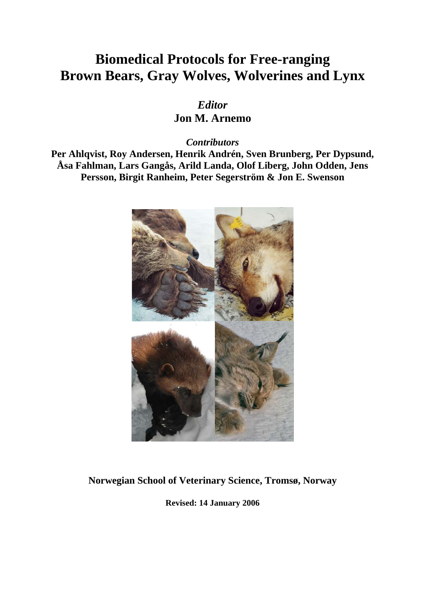# **Biomedical Protocols for Free-ranging Brown Bears, Gray Wolves, Wolverines and Lynx**

*Editor*  **Jon M. Arnemo** 

*Contributors* 

**Per Ahlqvist, Roy Andersen, Henrik Andrén, Sven Brunberg, Per Dypsund, Åsa Fahlman, Lars Gangås, Arild Landa, Olof Liberg, John Odden, Jens Persson, Birgit Ranheim, Peter Segerström & Jon E. Swenson** 



# **Norwegian School of Veterinary Science, Tromsø, Norway**

**Revised: 14 January 2006**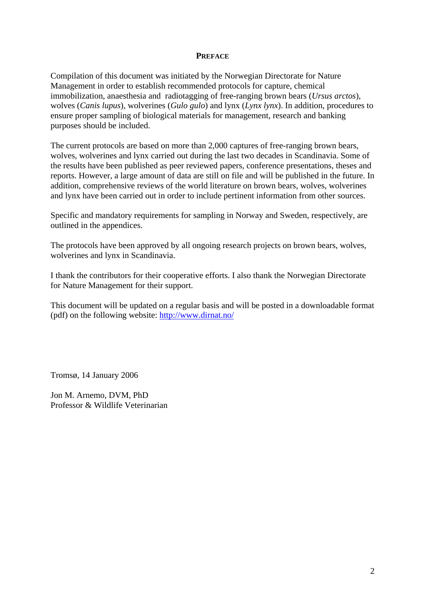## **PREFACE**

Compilation of this document was initiated by the Norwegian Directorate for Nature Management in order to establish recommended protocols for capture, chemical immobilization, anaesthesia and radiotagging of free-ranging brown bears (*Ursus arctos*), wolves (*Canis lupus*), wolverines (*Gulo gulo*) and lynx (*Lynx lynx*). In addition, procedures to ensure proper sampling of biological materials for management, research and banking purposes should be included.

The current protocols are based on more than 2,000 captures of free-ranging brown bears, wolves, wolverines and lynx carried out during the last two decades in Scandinavia. Some of the results have been published as peer reviewed papers, conference presentations, theses and reports. However, a large amount of data are still on file and will be published in the future. In addition, comprehensive reviews of the world literature on brown bears, wolves, wolverines and lynx have been carried out in order to include pertinent information from other sources.

Specific and mandatory requirements for sampling in Norway and Sweden, respectively, are outlined in the appendices.

The protocols have been approved by all ongoing research projects on brown bears, wolves, wolverines and lynx in Scandinavia.

I thank the contributors for their cooperative efforts. I also thank the Norwegian Directorate for Nature Management for their support.

This document will be updated on a regular basis and will be posted in a downloadable format (pdf) on the following website:<http://www.dirnat.no/>

Tromsø, 14 January 2006

Jon M. Arnemo, DVM, PhD Professor & Wildlife Veterinarian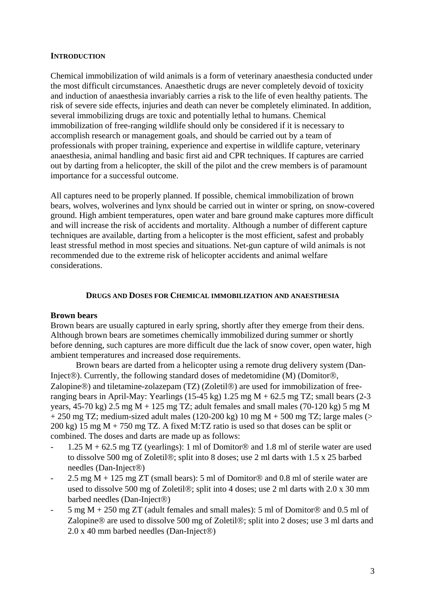## **INTRODUCTION**

Chemical immobilization of wild animals is a form of veterinary anaesthesia conducted under the most difficult circumstances. Anaesthetic drugs are never completely devoid of toxicity and induction of anaesthesia invariably carries a risk to the life of even healthy patients. The risk of severe side effects, injuries and death can never be completely eliminated. In addition, several immobilizing drugs are toxic and potentially lethal to humans. Chemical immobilization of free-ranging wildlife should only be considered if it is necessary to accomplish research or management goals, and should be carried out by a team of professionals with proper training, experience and expertise in wildlife capture, veterinary anaesthesia, animal handling and basic first aid and CPR techniques. If captures are carried out by darting from a helicopter, the skill of the pilot and the crew members is of paramount importance for a successful outcome.

All captures need to be properly planned. If possible, chemical immobilization of brown bears, wolves, wolverines and lynx should be carried out in winter or spring, on snow-covered ground. High ambient temperatures, open water and bare ground make captures more difficult and will increase the risk of accidents and mortality. Although a number of different capture techniques are available, darting from a helicopter is the most efficient, safest and probably least stressful method in most species and situations. Net-gun capture of wild animals is not recommended due to the extreme risk of helicopter accidents and animal welfare considerations.

## **DRUGS AND DOSES FOR CHEMICAL IMMOBILIZATION AND ANAESTHESIA**

## **Brown bears**

Brown bears are usually captured in early spring, shortly after they emerge from their dens. Although brown bears are sometimes chemically immobilized during summer or shortly before denning, such captures are more difficult due the lack of snow cover, open water, high ambient temperatures and increased dose requirements.

 Brown bears are darted from a helicopter using a remote drug delivery system (Dan-Inject®). Currently, the following standard doses of medetomidine (M) (Domitor®, Zalopine®) and tiletamine-zolazepam (TZ) (Zoletil®) are used for immobilization of freeranging bears in April-May: Yearlings (15-45 kg)  $1.25 \text{ mg } M + 62.5 \text{ mg } TZ$ ; small bears (2-3) years,  $45-70 \text{ kg}$ )  $2.5 \text{ mg}$  M + 125 mg TZ; adult females and small males (70-120 kg) 5 mg M  $+ 250$  mg TZ; medium-sized adult males (120-200 kg) 10 mg M  $+ 500$  mg TZ; large males (> 200 kg) 15 mg M + 750 mg TZ. A fixed M:TZ ratio is used so that doses can be split or combined. The doses and darts are made up as follows:

- 1.25 M + 62.5 mg TZ (yearlings): 1 ml of Domitor® and 1.8 ml of sterile water are used to dissolve 500 mg of Zoletil®; split into 8 doses; use 2 ml darts with 1.5 x 25 barbed needles (Dan-Inject®)
- 2.5 mg  $M + 125$  mg  $ZT$  (small bears): 5 ml of Domitor® and 0.8 ml of sterile water are used to dissolve 500 mg of Zoletil®; split into 4 doses; use 2 ml darts with 2.0 x 30 mm barbed needles (Dan-Inject®)
- 5 mg M + 250 mg ZT (adult females and small males): 5 ml of Domitor® and 0.5 ml of Zalopine® are used to dissolve 500 mg of Zoletil®; split into 2 doses; use 3 ml darts and 2.0 x 40 mm barbed needles (Dan-Inject®)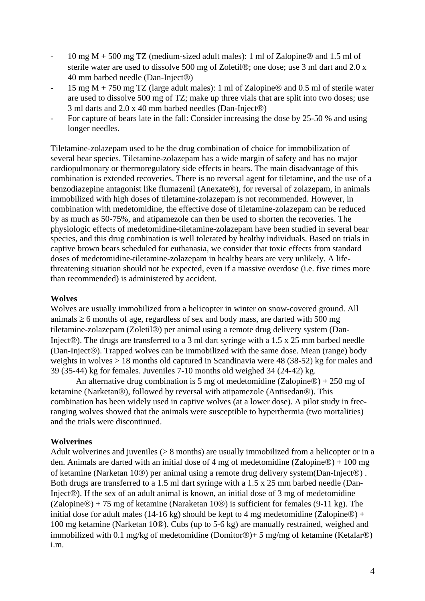- 10 mg M + 500 mg TZ (medium-sized adult males): 1 ml of Zalopine® and 1.5 ml of sterile water are used to dissolve 500 mg of Zoletil®; one dose; use 3 ml dart and 2.0 x 40 mm barbed needle (Dan-Inject®)
- 15 mg M + 750 mg TZ (large adult males): 1 ml of Zalopine® and 0.5 ml of sterile water are used to dissolve 500 mg of TZ; make up three vials that are split into two doses; use 3 ml darts and 2.0 x 40 mm barbed needles (Dan-Inject®)
- For capture of bears late in the fall: Consider increasing the dose by 25-50 % and using longer needles.

Tiletamine-zolazepam used to be the drug combination of choice for immobilization of several bear species. Tiletamine-zolazepam has a wide margin of safety and has no major cardiopulmonary or thermoregulatory side effects in bears. The main disadvantage of this combination is extended recoveries. There is no reversal agent for tiletamine, and the use of a benzodiazepine antagonist like flumazenil (Anexate®), for reversal of zolazepam, in animals immobilized with high doses of tiletamine-zolazepam is not recommended. However, in combination with medetomidine, the effective dose of tiletamine-zolazepam can be reduced by as much as 50-75%, and atipamezole can then be used to shorten the recoveries. The physiologic effects of medetomidine-tiletamine-zolazepam have been studied in several bear species, and this drug combination is well tolerated by healthy individuals. Based on trials in captive brown bears scheduled for euthanasia, we consider that toxic effects from standard doses of medetomidine-tiletamine-zolazepam in healthy bears are very unlikely. A lifethreatening situation should not be expected, even if a massive overdose (i.e. five times more than recommended) is administered by accident.

## **Wolves**

Wolves are usually immobilized from a helicopter in winter on snow-covered ground. All animals  $\geq 6$  months of age, regardless of sex and body mass, are darted with 500 mg tiletamine-zolazepam (Zoletil®) per animal using a remote drug delivery system (Dan-Inject<sup>®</sup>). The drugs are transferred to a 3 ml dart syringe with a 1.5 x 25 mm barbed needle (Dan-Inject®). Trapped wolves can be immobilized with the same dose. Mean (range) body weights in wolves > 18 months old captured in Scandinavia were 48 (38-52) kg for males and 39 (35-44) kg for females. Juveniles 7-10 months old weighed 34 (24-42) kg.

An alternative drug combination is 5 mg of medetomidine (Zalopine®) + 250 mg of ketamine (Narketan®), followed by reversal with atipamezole (Antisedan®). This combination has been widely used in captive wolves (at a lower dose). A pilot study in freeranging wolves showed that the animals were susceptible to hyperthermia (two mortalities) and the trials were discontinued.

## **Wolverines**

Adult wolverines and juveniles (> 8 months) are usually immobilized from a helicopter or in a den. Animals are darted with an initial dose of 4 mg of medetomidine (Zalopine®) + 100 mg of ketamine (Narketan 10®) per animal using a remote drug delivery system(Dan-Inject®) . Both drugs are transferred to a 1.5 ml dart syringe with a 1.5 x 25 mm barbed needle (Dan-Inject®). If the sex of an adult animal is known, an initial dose of 3 mg of medetomidine (Zalopine®) + 75 mg of ketamine (Naraketan 10®) is sufficient for females (9-11 kg). The initial dose for adult males (14-16 kg) should be kept to 4 mg medetomidine (Zalopine®) + 100 mg ketamine (Narketan 10®). Cubs (up to 5-6 kg) are manually restrained, weighed and immobilized with 0.1 mg/kg of medetomidine (Domitor®)+ 5 mg/mg of ketamine (Ketalar®) i.m.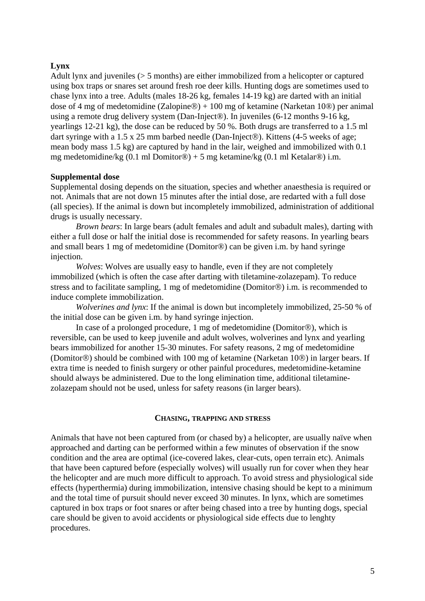## **Lynx**

Adult lynx and juveniles (> 5 months) are either immobilized from a helicopter or captured using box traps or snares set around fresh roe deer kills. Hunting dogs are sometimes used to chase lynx into a tree. Adults (males 18-26 kg, females 14-19 kg) are darted with an initial dose of 4 mg of medetomidine (Zalopine®) + 100 mg of ketamine (Narketan 10®) per animal using a remote drug delivery system (Dan-Inject®). In juveniles (6-12 months 9-16 kg, yearlings 12-21 kg), the dose can be reduced by 50 %. Both drugs are transferred to a 1.5 ml dart syringe with a 1.5 x 25 mm barbed needle (Dan-Inject®). Kittens (4-5 weeks of age; mean body mass 1.5 kg) are captured by hand in the lair, weighed and immobilized with 0.1 mg medetomidine/kg  $(0.1 \text{ ml}$  Domitor $\circledast$ ) + 5 mg ketamine/kg  $(0.1 \text{ ml}$  Ketalar $\circledast$ ) i.m.

## **Supplemental dose**

Supplemental dosing depends on the situation, species and whether anaesthesia is required or not. Animals that are not down 15 minutes after the intial dose, are redarted with a full dose (all species). If the animal is down but incompletely immobilized, administration of additional drugs is usually necessary.

*Brown bears*: In large bears (adult females and adult and subadult males), darting with either a full dose or half the initial dose is recommended for safety reasons. In yearling bears and small bears 1 mg of medetomidine (Domitor®) can be given i.m. by hand syringe injection.

*Wolves*: Wolves are usually easy to handle, even if they are not completely immobilized (which is often the case after darting with tiletamine-zolazepam). To reduce stress and to facilitate sampling, 1 mg of medetomidine (Domitor®) i.m. is recommended to induce complete immobilization.

*Wolverines and lynx*: If the animal is down but incompletely immobilized, 25-50 % of the initial dose can be given i.m. by hand syringe injection.

In case of a prolonged procedure, 1 mg of medetomidine (Domitor®), which is reversible, can be used to keep juvenile and adult wolves, wolverines and lynx and yearling bears immobilized for another 15-30 minutes. For safety reasons, 2 mg of medetomidine (Domitor®) should be combined with 100 mg of ketamine (Narketan 10®) in larger bears. If extra time is needed to finish surgery or other painful procedures, medetomidine-ketamine should always be administered. Due to the long elimination time, additional tiletaminezolazepam should not be used, unless for safety reasons (in larger bears).

## **CHASING, TRAPPING AND STRESS**

Animals that have not been captured from (or chased by) a helicopter, are usually naïve when approached and darting can be performed within a few minutes of observation if the snow condition and the area are optimal (ice-covered lakes, clear-cuts, open terrain etc). Animals that have been captured before (especially wolves) will usually run for cover when they hear the helicopter and are much more difficult to approach. To avoid stress and physiological side effects (hyperthermia) during immobilization, intensive chasing should be kept to a minimum and the total time of pursuit should never exceed 30 minutes. In lynx, which are sometimes captured in box traps or foot snares or after being chased into a tree by hunting dogs, special care should be given to avoid accidents or physiological side effects due to lenghty procedures.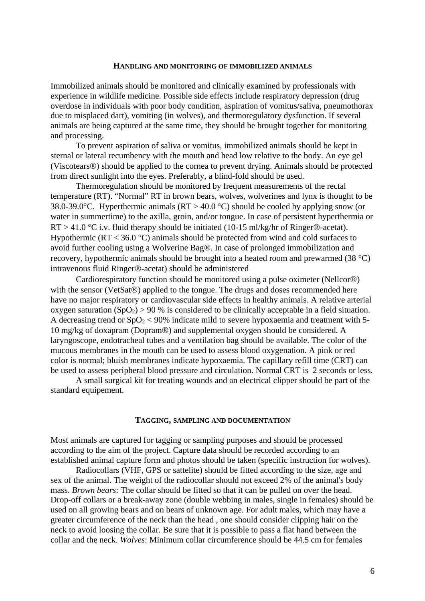#### **HANDLING AND MONITORING OF IMMOBILIZED ANIMALS**

Immobilized animals should be monitored and clinically examined by professionals with experience in wildlife medicine. Possible side effects include respiratory depression (drug overdose in individuals with poor body condition, aspiration of vomitus/saliva, pneumothorax due to misplaced dart), vomiting (in wolves), and thermoregulatory dysfunction. If several animals are being captured at the same time, they should be brought together for monitoring and processing.

To prevent aspiration of saliva or vomitus, immobilized animals should be kept in sternal or lateral recumbency with the mouth and head low relative to the body. An eye gel (Viscotears®) should be applied to the cornea to prevent drying. Animals should be protected from direct sunlight into the eyes. Preferably, a blind-fold should be used.

Thermoregulation should be monitored by frequent measurements of the rectal temperature (RT). "Normal" RT in brown bears, wolves, wolverines and lynx is thought to be 38.0-39.0°C. Hyperthermic animals ( $RT > 40.0$ °C) should be cooled by applying snow (or water in summertime) to the axilla, groin, and/or tongue. In case of persistent hyperthermia or  $RT > 41.0$  °C i.v. fluid therapy should be initiated (10-15 ml/kg/hr of Ringer®-acetat). Hypothermic ( $RT < 36.0$  °C) animals should be protected from wind and cold surfaces to avoid further cooling using a Wolverine Bag®. In case of prolonged immobilization and recovery, hypothermic animals should be brought into a heated room and prewarmed (38 °C) intravenous fluid Ringer®-acetat) should be administered

Cardiorespiratory function should be monitored using a pulse oximeter (Nellcor®) with the sensor (VetSat<sup>®</sup>) applied to the tongue. The drugs and doses recommended here have no major respiratory or cardiovascular side effects in healthy animals. A relative arterial oxygen saturation  $(SpO<sub>2</sub>) > 90$ % is considered to be clinically acceptable in a field situation. A decreasing trend or  $SpO<sub>2</sub> < 90%$  indicate mild to severe hypoxaemia and treatment with 5-10 mg/kg of doxapram (Dopram®) and supplemental oxygen should be considered. A laryngoscope, endotracheal tubes and a ventilation bag should be available. The color of the mucous membranes in the mouth can be used to assess blood oxygenation. A pink or red color is normal; bluish membranes indicate hypoxaemia. The capillary refill time (CRT) can be used to assess peripheral blood pressure and circulation. Normal CRT is 2 seconds or less.

A small surgical kit for treating wounds and an electrical clipper should be part of the standard equipement.

#### **TAGGING, SAMPLING AND DOCUMENTATION**

Most animals are captured for tagging or sampling purposes and should be processed according to the aim of the project. Capture data should be recorded according to an established animal capture form and photos should be taken (specific instruction for wolves).

 Radiocollars (VHF, GPS or sattelite) should be fitted according to the size, age and sex of the animal. The weight of the radiocollar should not exceed 2% of the animal's body mass. *Brown bears*: The collar should be fitted so that it can be pulled on over the head. Drop-off collars or a break-away zone (double webbing in males, single in females) should be used on all growing bears and on bears of unknown age. For adult males, which may have a greater circumference of the neck than the head , one should consider clipping hair on the neck to avoid loosing the collar. Be sure that it is possible to pass a flat hand between the collar and the neck. *Wolves*: Minimum collar circumference should be 44.5 cm for females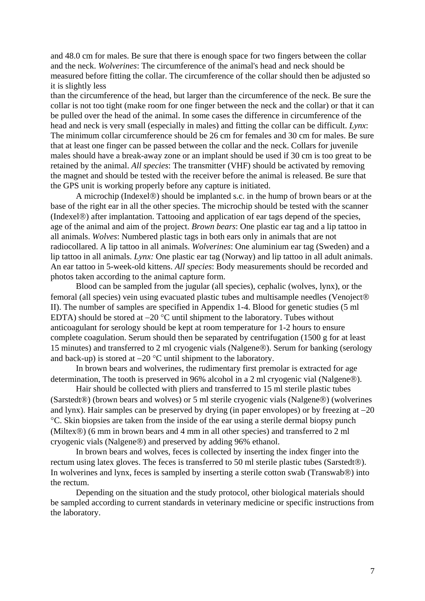and 48.0 cm for males. Be sure that there is enough space for two fingers between the collar and the neck. *Wolverines*: The circumference of the animal's head and neck should be measured before fitting the collar. The circumference of the collar should then be adjusted so it is slightly less

than the circumference of the head, but larger than the circumference of the neck. Be sure the collar is not too tight (make room for one finger between the neck and the collar) or that it can be pulled over the head of the animal. In some cases the difference in circumference of the head and neck is very small (especially in males) and fitting the collar can be difficult. *Lynx*: The minimum collar circumference should be 26 cm for females and 30 cm for males. Be sure that at least one finger can be passed between the collar and the neck. Collars for juvenile males should have a break-away zone or an implant should be used if 30 cm is too great to be retained by the animal. *All species*: The transmitter (VHF) should be activated by removing the magnet and should be tested with the receiver before the animal is released. Be sure that the GPS unit is working properly before any capture is initiated.

 A microchip (Indexel®) should be implanted s.c. in the hump of brown bears or at the base of the right ear in all the other species. The microchip should be tested with the scanner (Indexel®) after implantation. Tattooing and application of ear tags depend of the species, age of the animal and aim of the project. *Brown bears*: One plastic ear tag and a lip tattoo in all animals. *Wolves*: Numbered plastic tags in both ears only in animals that are not radiocollared. A lip tattoo in all animals. *Wolverines*: One aluminium ear tag (Sweden) and a lip tattoo in all animals. *Lynx:* One plastic ear tag (Norway) and lip tattoo in all adult animals. An ear tattoo in 5-week-old kittens. *All species*: Body measurements should be recorded and photos taken according to the animal capture form.

 Blood can be sampled from the jugular (all species), cephalic (wolves, lynx), or the femoral (all species) vein using evacuated plastic tubes and multisample needles (Venoject® II). The number of samples are specified in Appendix 1-4. Blood for genetic studies (5 ml EDTA) should be stored at −20 °C until shipment to the laboratory. Tubes without anticoagulant for serology should be kept at room temperature for 1-2 hours to ensure complete coagulation. Serum should then be separated by centrifugation (1500 g for at least 15 minutes) and transferred to 2 ml cryogenic vials (Nalgene®). Serum for banking (serology and back-up) is stored at −20 °C until shipment to the laboratory.

 In brown bears and wolverines, the rudimentary first premolar is extracted for age determination, The tooth is preserved in 96% alcohol in a 2 ml cryogenic vial (Nalgene®).

 Hair should be collected with pliers and transferred to 15 ml sterile plastic tubes (Sarstedt®) (brown bears and wolves) or 5 ml sterile cryogenic vials (Nalgene®) (wolverines and lynx). Hair samples can be preserved by drying (in paper envolopes) or by freezing at −20 °C. Skin biopsies are taken from the inside of the ear using a sterile dermal biopsy punch (Miltex®) (6 mm in brown bears and 4 mm in all other species) and transferred to 2 ml cryogenic vials (Nalgene®) and preserved by adding 96% ethanol.

 In brown bears and wolves, feces is collected by inserting the index finger into the rectum using latex gloves. The feces is transferred to 50 ml sterile plastic tubes (Sarstedt®). In wolverines and lynx, feces is sampled by inserting a sterile cotton swab (Transwab®) into the rectum.

 Depending on the situation and the study protocol, other biological materials should be sampled according to current standards in veterinary medicine or specific instructions from the laboratory.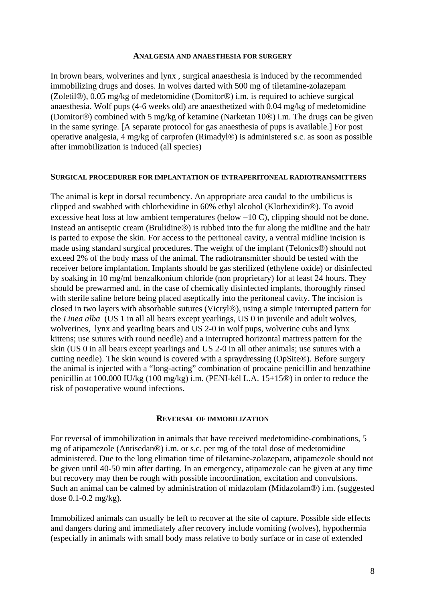#### **ANALGESIA AND ANAESTHESIA FOR SURGERY**

In brown bears, wolverines and lynx , surgical anaesthesia is induced by the recommended immobilizing drugs and doses. In wolves darted with 500 mg of tiletamine-zolazepam (Zoletil®), 0.05 mg/kg of medetomidine (Domitor®) i.m. is required to achieve surgical anaesthesia. Wolf pups (4-6 weeks old) are anaesthetized with 0.04 mg/kg of medetomidine (Domitor®) combined with 5 mg/kg of ketamine (Narketan 10®) i.m. The drugs can be given in the same syringe. [A separate protocol for gas anaesthesia of pups is available.] For post operative analgesia, 4 mg/kg of carprofen (Rimadyl®) is administered s.c. as soon as possible after immobilization is induced (all species)

#### **SURGICAL PROCEDURER FOR IMPLANTATION OF INTRAPERITONEAL RADIOTRANSMITTERS**

The animal is kept in dorsal recumbency. An appropriate area caudal to the umbilicus is clipped and swabbed with chlorhexidine in 60% ethyl alcohol (Klorhexidin®). To avoid excessive heat loss at low ambient temperatures (below −10 C), clipping should not be done. Instead an antiseptic cream (Brulidine®) is rubbed into the fur along the midline and the hair is parted to expose the skin. For access to the peritoneal cavity, a ventral midline incision is made using standard surgical procedures. The weight of the implant (Telonics®) should not exceed 2% of the body mass of the animal. The radiotransmitter should be tested with the receiver before implantation. Implants should be gas sterilized (ethylene oxide) or disinfected by soaking in 10 mg/ml benzalkonium chloride (non proprietary) for at least 24 hours. They should be prewarmed and, in the case of chemically disinfected implants, thoroughly rinsed with sterile saline before being placed aseptically into the peritoneal cavity. The incision is closed in two layers with absorbable sutures (Vicryl®), using a simple interrupted pattern for the *Linea alba* (US 1 in all all bears except yearlings, US 0 in juvenile and adult wolves, wolverines, lynx and yearling bears and US 2-0 in wolf pups, wolverine cubs and lynx kittens; use sutures with round needle) and a interrupted horizontal mattress pattern for the skin (US 0 in all bears except yearlings and US 2-0 in all other animals; use sutures with a cutting needle). The skin wound is covered with a spraydressing (OpSite®). Before surgery the animal is injected with a "long-acting" combination of procaine penicillin and benzathine penicillin at 100.000 IU/kg (100 mg/kg) i.m. (PENI-kél L.A. 15+15®) in order to reduce the risk of postoperative wound infections.

#### **REVERSAL OF IMMOBILIZATION**

For reversal of immobilization in animals that have received medetomidine-combinations, 5 mg of atipamezole (Antisedan®) i.m. or s.c. per mg of the total dose of medetomidine administered. Due to the long elimation time of tiletamine-zolazepam, atipamezole should not be given until 40-50 min after darting. In an emergency, atipamezole can be given at any time but recovery may then be rough with possible incoordination, excitation and convulsions. Such an animal can be calmed by administration of midazolam (Midazolam®) i.m. (suggested dose 0.1-0.2 mg/kg).

Immobilized animals can usually be left to recover at the site of capture. Possible side effects and dangers during and immediately after recovery include vomiting (wolves), hypothermia (especially in animals with small body mass relative to body surface or in case of extended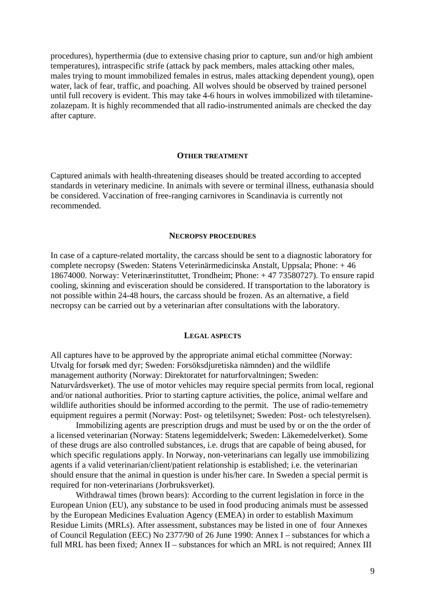procedures), hyperthermia (due to extensive chasing prior to capture, sun and/or high ambient temperatures), intraspecific strife (attack by pack members, males attacking other males, males trying to mount immobilized females in estrus, males attacking dependent young), open water, lack of fear, traffic, and poaching. All wolves should be observed by trained personel until full recovery is evident. This may take 4-6 hours in wolves immobilized with tiletaminezolazepam. It is highly recommended that all radio-instrumented animals are checked the day after capture.

#### **OTHER TREATMENT**

Captured animals with health-threatening diseases should be treated according to accepted standards in veterinary medicine. In animals with severe or terminal illness, euthanasia should be considered. Vaccination of free-ranging carnivores in Scandinavia is currently not recommended.

#### **NECROPSY PROCEDURES**

In case of a capture-related mortality, the carcass should be sent to a diagnostic laboratory for complete necropsy (Sweden: Statens Veterinärmedicinska Anstalt, Uppsala; Phone: + 46 18674000. Norway: Veterinærinstituttet, Trondheim; Phone: + 47 73580727). To ensure rapid cooling, skinning and evisceration should be considered. If transportation to the laboratory is not possible within 24-48 hours, the carcass should be frozen. As an alternative, a field necropsy can be carried out by a veterinarian after consultations with the laboratory.

#### **LEGAL ASPECTS**

All captures have to be approved by the appropriate animal etichal committee (Norway: Utvalg for forsøk med dyr; Sweden: Forsöksdjuretiska nämnden) and the wildlife management authority (Norway: Direktoratet for naturforvaltningen; Sweden: Naturvårdsverket). The use of motor vehicles may require special permits from local, regional and/or national authorities. Prior to starting capture activities, the police, animal welfare and wildlife authorities should be informed according to the permit. The use of radio-tememetry equipment reguires a permit (Norway: Post- og teletilsynet; Sweden: Post- och telestyrelsen).

 Immobilizing agents are prescription drugs and must be used by or on the the order of a licensed veterinarian (Norway: Statens legemiddelverk; Sweden: Läkemedelverket). Some of these drugs are also controlled substances, i.e. drugs that are capable of being abused, for which specific regulations apply. In Norway, non-veterinarians can legally use immobilizing agents if a valid veterinarian/client/patient relationship is established; i.e. the veterinarian should ensure that the animal in question is under his/her care. In Sweden a special permit is required for non-veterinarians (Jorbruksverket).

 Withdrawal times (brown bears): According to the current legislation in force in the European Union (EU), any substance to be used in food producing animals must be assessed by the European Medicines Evaluation Agency (EMEA) in order to establish Maximum Residue Limits (MRLs). After assessment, substances may be listed in one of four Annexes of Council Regulation (EEC) No 2377/90 of 26 June 1990: Annex I – substances for which a full MRL has been fixed; Annex II – substances for which an MRL is not required; Annex III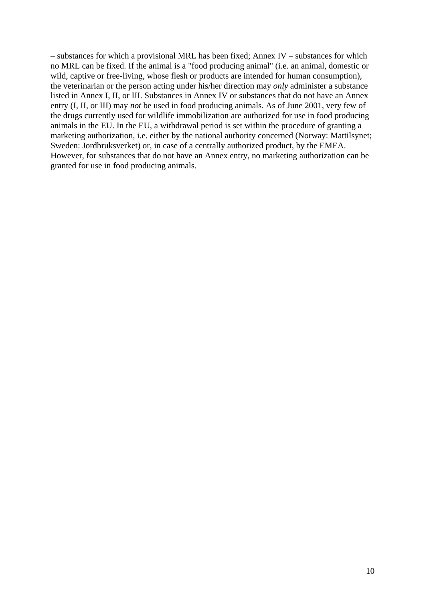– substances for which a provisional MRL has been fixed; Annex IV – substances for which no MRL can be fixed. If the animal is a "food producing animal" (i.e. an animal, domestic or wild, captive or free-living, whose flesh or products are intended for human consumption), the veterinarian or the person acting under his/her direction may *only* administer a substance listed in Annex I, II, or III. Substances in Annex IV or substances that do not have an Annex entry (I, II, or III) may *not* be used in food producing animals. As of June 2001, very few of the drugs currently used for wildlife immobilization are authorized for use in food producing animals in the EU. In the EU, a withdrawal period is set within the procedure of granting a marketing authorization, i.e. either by the national authority concerned (Norway: Mattilsynet; Sweden: Jordbruksverket) or, in case of a centrally authorized product, by the EMEA. However, for substances that do not have an Annex entry, no marketing authorization can be granted for use in food producing animals.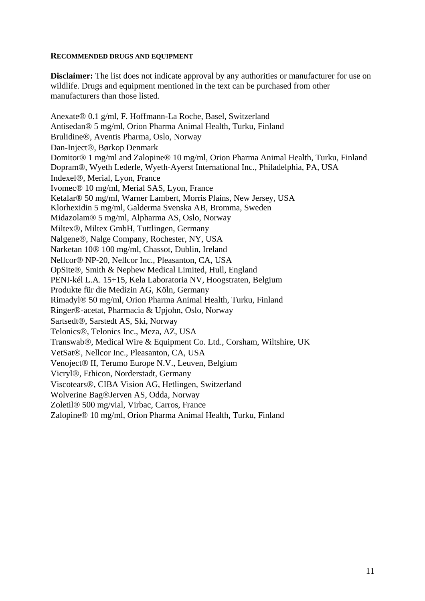### **RECOMMENDED DRUGS AND EQUIPMENT**

**Disclaimer:** The list does not indicate approval by any authorities or manufacturer for use on wildlife. Drugs and equipment mentioned in the text can be purchased from other manufacturers than those listed.

Anexate® 0.1 g/ml, F. Hoffmann-La Roche, Basel, Switzerland Antisedan® 5 mg/ml, Orion Pharma Animal Health, Turku, Finland Brulidine®, Aventis Pharma, Oslo, Norway Dan-Inject®, Børkop Denmark Domitor® 1 mg/ml and Zalopine® 10 mg/ml, Orion Pharma Animal Health, Turku, Finland Dopram®, Wyeth Lederle, Wyeth-Ayerst International Inc., Philadelphia, PA, USA Indexel®, Merial, Lyon, France Ivomec® 10 mg/ml, Merial SAS, Lyon, France Ketalar® 50 mg/ml, Warner Lambert, Morris Plains, New Jersey, USA Klorhexidin 5 mg/ml, Galderma Svenska AB, Bromma, Sweden Midazolam® 5 mg/ml, Alpharma AS, Oslo, Norway Miltex®, Miltex GmbH, Tuttlingen, Germany Nalgene®, Nalge Company, Rochester, NY, USA Narketan 10® 100 mg/ml, Chassot, Dublin, Ireland Nellcor® NP-20, Nellcor Inc., Pleasanton, CA, USA OpSite®, Smith & Nephew Medical Limited, Hull, England PENI-kél L.A. 15+15, Kela Laboratoria NV, Hoogstraten, Belgium Produkte für die Medizin AG, Köln, Germany Rimadyl® 50 mg/ml, Orion Pharma Animal Health, Turku, Finland Ringer®-acetat, Pharmacia & Upjohn, Oslo, Norway Sartsedt®, Sarstedt AS, Ski, Norway Telonics®, Telonics Inc., Meza, AZ, USA Transwab®, Medical Wire & Equipment Co. Ltd., Corsham, Wiltshire, UK VetSat®, Nellcor Inc., Pleasanton, CA, USA Venoject® II, Terumo Europe N.V., Leuven, Belgium Vicryl®, Ethicon, Norderstadt, Germany Viscotears®, CIBA Vision AG, Hetlingen, Switzerland Wolverine Bag®Jerven AS, Odda, Norway Zoletil® 500 mg/vial, Virbac, Carros, France Zalopine® 10 mg/ml, Orion Pharma Animal Health, Turku, Finland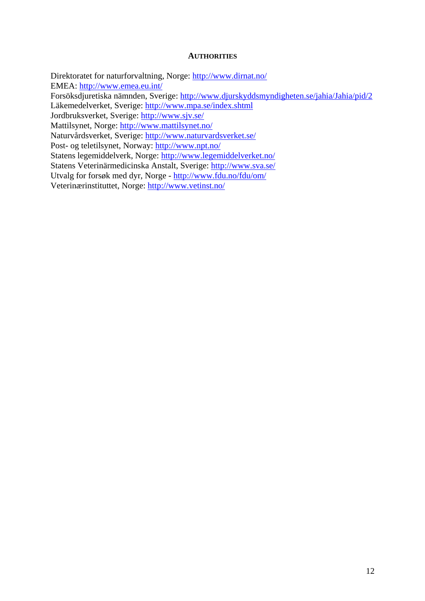#### **AUTHORITIES**

Direktoratet for naturforvaltning, Norge:<http://www.dirnat.no/> EMEA:<http://www.emea.eu.int/> Forsöksdjuretiska nämnden, Sverige:<http://www.djurskyddsmyndigheten.se/jahia/Jahia/pid/2> Läkemedelverket, Sverige:<http://www.mpa.se/index.shtml> Jordbruksverket, Sverige:<http://www.sjv.se/> Mattilsynet, Norge:<http://www.mattilsynet.no/> Naturvårdsverket, Sverige:<http://www.naturvardsverket.se/> Post- og teletilsynet, Norway:<http://www.npt.no/> Statens legemiddelverk, Norge: <http://www.legemiddelverket.no/> Statens Veterinärmedicinska Anstalt, Sverige: <http://www.sva.se/> Utvalg for forsøk med dyr, Norge - <http://www.fdu.no/fdu/om/> Veterinærinstituttet, Norge: <http://www.vetinst.no/>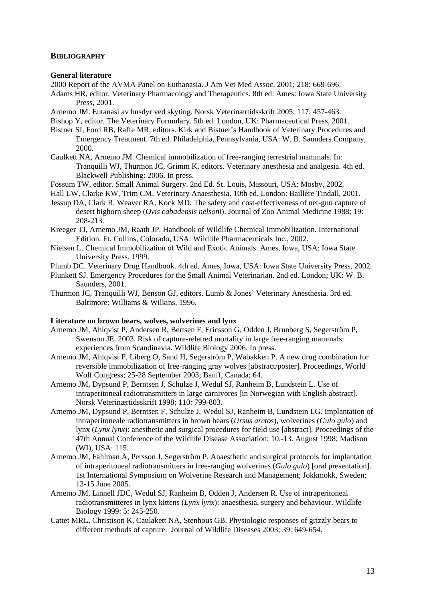#### **BIBLIOGRAPHY**

#### **General literature**

2000 Report of the AVMA Panel on Euthanasia. J Am Vet Med Assoc. 2001; 218: 669-696.

- Adams HR, editor. Veterinary Pharmacology and Therapeutics. 8th ed. Ames: Iowa State University Press, 2001.
- Arnemo JM. Eutanasi av husdyr ved skyting. Norsk Veterinærtidsskrift 2005; 117: 457-463.
- Bishop Y, editor. The Veterinary Formulary. 5th ed. London, UK: Pharmaceutical Press, 2001.
- Bistner SI, Ford RB, Raffe MR, editors. Kirk and Bistner's Handbook of Veterinary Procedures and Emergency Treatment. 7th ed. Philadelphia, Pennsylvania, USA: W. B. Saunders Company, 2000.
- Caulkett NA, Arnemo JM. Chemical immobilization of free-ranging terrestrial mammals. In: Tranquilli WJ, Thurmon JC, Grimm K, editors. Veterinary anesthesia and analgesia. 4th ed. Blackwell Publishing: 2006. In press.
- Fossum TW, editor. Small Animal Surgery. 2nd Ed. St. Louis, Missouri, USA: Mosby, 2002.
- Hall LW, Clarke KW, Trim CM. Veterinary Anaesthesia. 10th ed. London: Baillère Tindall, 2001.
- Jessup DA, Clark R, Weaver RA, Kock MD. The safety and cost-effectiveness of net-gun capture of desert bighorn sheep (*Ovis cabadensis nelsoni*). Journal of Zoo Animal Medicine 1988; 19: 208-213.
- Kreeger TJ, Arnemo JM, Raath JP. Handbook of Wildlife Chemical Immobilization. International Edition. Ft. Collins, Colorado, USA: Wildlife Pharmaceuticals Inc., 2002.
- Nielsen L. Chemical Immobilization of Wild and Exotic Animals. Ames, Iowa, USA: Iowa State University Press, 1999.
- Plumb DC. Veterinary Drug Handbook. 4th ed. Ames, Iowa, USA: Iowa State University Press, 2002.
- Plunkett SJ. Emergency Procedures for the Small Animal Veterinarian. 2nd ed. London; UK: W. B. Saunders, 2001.
- Thurmon JC, Tranquilli WJ, Benson GJ, editors. Lumb & Jones' Veterinary Anesthesia. 3rd ed. Baltimore: Williams & Wilkins, 1996.

#### **Literature on brown bears, wolves, wolverines and lynx**

- Arnemo JM, Ahlqvist P, Andersen R, Bertsen F, Ericsson G, Odden J, Brunberg S, Segerström P, Swenson JE. 2003. Risk of capture-relatred mortality in large free-ranging mammals: experiences from Scandinavia. Wildlife Biology 2006. In press.
- Arnemo JM, Ahlqvist P, Liberg O, Sand H, Segerström P, Wabakken P. A new drug combination for reversible immobilization of free-ranging gray wolves [abstract/poster]. Proceedings, World Wolf Congress; 25-28 September 2003; Banff, Canada; 64.
- Arnemo JM, Dypsund P, Berntsen J, Schulze J, Wedul SJ, Ranheim B, Lundstein L. Use of intraperitoneal radiotransmitters in large carnivores [in Norwegian with English abstract]. Norsk Veterinærtidsskrift 1998; 110: 799-803.
- Arnemo JM, Dypsund P, Berntsen F, Schulze J, Wedul SJ, Ranheim B, Lundstein LG. Implantation of intraperitoneale radiotransmitters in brown bears (*Ursus arctos*), wolverines (*Gulo gulo*) and lynx (*Lynx lynx*): anesthetic and surgical procedures for field use [abstract]. Proceedings of the 47th Annual Conference of the Wildlife Disease Association; 10.-13. August 1998; Madison (WI), USA: 115.
- Arnemo JM, Fahlman Å, Persson J, Segerström P. Anaesthetic and surgical protocols for implantation of intraperitoneal radiotransmitters in free-ranging wolverines (*Gulo gulo*) [oral presentation]. 1st International Symposium on Wolverine Research and Management; Jokkmokk, Sweden; 13-15 June 2005.
- Arnemo JM, Linnell JDC, Wedul SJ, Ranheim B, Odden J, Andersen R. Use of intraperitoneal radiotransmitteres in lynx kittens (*Lynx lynx*): anaesthesia, surgery and behaviour. Wildlife Biology 1999: 5: 245-250.
- Cattet MRL, Christison K, Caulakett NA, Stenhous GB. Physiologic responses of grizzly bears to different methods of capture. Journal of Wildlife Diseases 2003; 39: 649-654.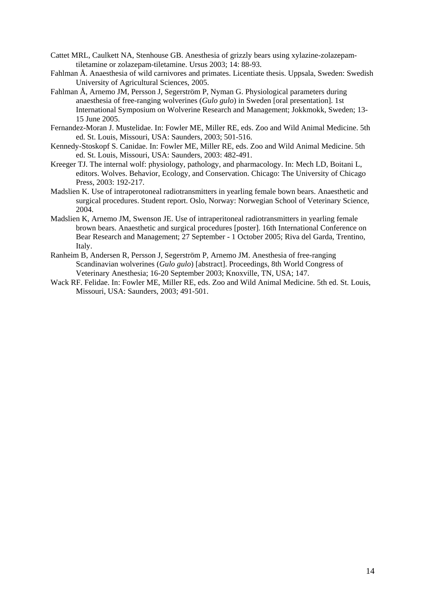- Cattet MRL, Caulkett NA, Stenhouse GB. Anesthesia of grizzly bears using xylazine-zolazepamtiletamine or zolazepam-tiletamine. Ursus 2003; 14: 88-93.
- Fahlman Å. Anaesthesia of wild carnivores and primates. Licentiate thesis. Uppsala, Sweden: Swedish University of Agricultural Sciences, 2005.
- Fahlman Å, Arnemo JM, Persson J, Segerström P, Nyman G. Physiological parameters during anaesthesia of free-ranging wolverines (*Gulo gulo*) in Sweden [oral presentation]. 1st International Symposium on Wolverine Research and Management; Jokkmokk, Sweden; 13- 15 June 2005.
- Fernandez-Moran J. Mustelidae. In: Fowler ME, Miller RE, eds. Zoo and Wild Animal Medicine. 5th ed. St. Louis, Missouri, USA: Saunders, 2003; 501-516.
- Kennedy-Stoskopf S. Canidae. In: Fowler ME, Miller RE, eds. Zoo and Wild Animal Medicine. 5th ed. St. Louis, Missouri, USA: Saunders, 2003: 482-491.
- Kreeger TJ. The internal wolf: physiology, pathology, and pharmacology. In: Mech LD, Boitani L, editors. Wolves. Behavior, Ecology, and Conservation. Chicago: The University of Chicago Press, 2003: 192-217.
- Madslien K. Use of intraperotoneal radiotransmitters in yearling female bown bears. Anaesthetic and surgical procedures. Student report. Oslo, Norway: Norwegian School of Veterinary Science, 2004.
- Madslien K, Arnemo JM, Swenson JE. Use of intraperitoneal radiotransmitters in yearling female brown bears. Anaesthetic and surgical procedures [poster]. 16th International Conference on Bear Research and Management; 27 September - 1 October 2005; Riva del Garda, Trentino, Italy.
- Ranheim B, Andersen R, Persson J, Segerström P, Arnemo JM. Anesthesia of free-ranging Scandinavian wolverines (*Gulo gulo*) [abstract]. Proceedings, 8th World Congress of Veterinary Anesthesia; 16-20 September 2003; Knoxville, TN, USA; 147.
- Wack RF. Felidae. In: Fowler ME, Miller RE, eds. Zoo and Wild Animal Medicine. 5th ed. St. Louis, Missouri, USA: Saunders, 2003; 491-501.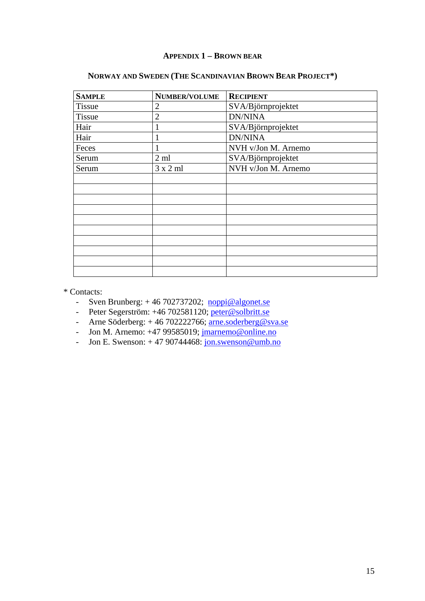## **APPENDIX 1 – BROWN BEAR**

| <b>SAMPLE</b> | NUMBER/VOLUME   | <b>RECIPIENT</b>    |
|---------------|-----------------|---------------------|
| <b>Tissue</b> | $\overline{2}$  | SVA/Björnprojektet  |
| <b>Tissue</b> | $\overline{2}$  | <b>DN/NINA</b>      |
| Hair          | 1               | SVA/Björnprojektet  |
| Hair          |                 | <b>DN/NINA</b>      |
| Feces         | 1               | NVH v/Jon M. Arnemo |
| Serum         | $2 \text{ ml}$  | SVA/Björnprojektet  |
| Serum         | $3 \times 2$ ml | NVH v/Jon M. Arnemo |
|               |                 |                     |
|               |                 |                     |
|               |                 |                     |
|               |                 |                     |
|               |                 |                     |
|               |                 |                     |
|               |                 |                     |
|               |                 |                     |
|               |                 |                     |
|               |                 |                     |

## **NORWAY AND SWEDEN (THE SCANDINAVIAN BROWN BEAR PROJECT\*)**

\* Contacts:

- Sven Brunberg:  $+ 46702737202$ ; [noppi@algonet.se](mailto:noppi@algonet.se)
- Peter Segerström: +46 702581120; [peter@solbritt.se](mailto:peter@solbritt.se)
- Arne Söderberg: + 46 702222766; [arne.soderberg@sva.se](mailto:arne.soderberg@sva.se)
- Jon M. Arnemo:  $+4799585019$ ;  $\overline{\text{marnemo}\textcircled{}}$  online.no
- Jon E. Swenson:  $+4790744468: \frac{\cdot}{100}$ .swenson@umb.no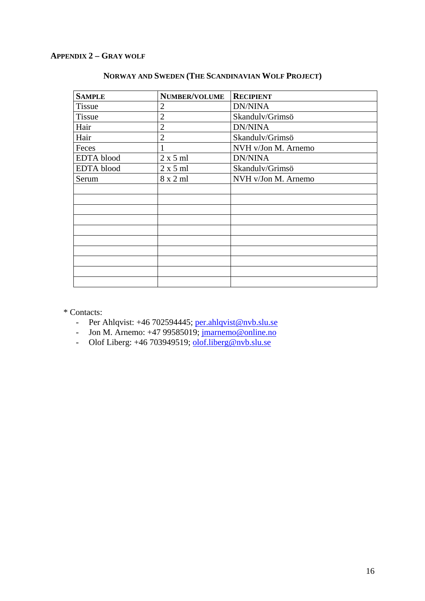## **APPENDIX 2 – GRAY WOLF**

| <b>SAMPLE</b>     | <b>NUMBER/VOLUME</b> | <b>RECIPIENT</b>    |
|-------------------|----------------------|---------------------|
| <b>Tissue</b>     | 2                    | <b>DN/NINA</b>      |
| Tissue            | $\overline{2}$       | Skandulv/Grimsö     |
| Hair              | $\overline{2}$       | <b>DN/NINA</b>      |
| Hair              | $\overline{2}$       | Skandulv/Grimsö     |
| Feces             |                      | NVH v/Jon M. Arnemo |
| <b>EDTA</b> blood | 2 x 5 m1             | <b>DN/NINA</b>      |
| <b>EDTA</b> blood | $2 \times 5$ ml      | Skandulv/Grimsö     |
| Serum             | $8 \times 2$ ml      | NVH v/Jon M. Arnemo |
|                   |                      |                     |
|                   |                      |                     |
|                   |                      |                     |
|                   |                      |                     |
|                   |                      |                     |
|                   |                      |                     |
|                   |                      |                     |
|                   |                      |                     |
|                   |                      |                     |
|                   |                      |                     |

## **NORWAY AND SWEDEN (THE SCANDINAVIAN WOLF PROJECT)**

\* Contacts:

- Per Ahlqvist: +46 702594445; [per.ahlqvist@nvb.slu.se](mailto:per.ahlqvist@nvb.slu.se)
- Jon M. Arnemo: +47 99585019; *jmarnemo@online.no*
- Olof Liberg: +46 703949519; [olof.liberg@nvb.slu.se](mailto:olof.liberg@nvb.slu.se)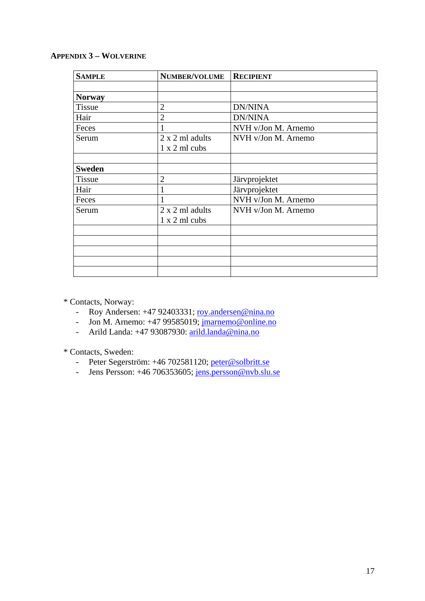## **APPENDIX 3 – WOLVERINE**

| <b>SAMPLE</b> | NUMBER/VOLUME   | <b>RECIPIENT</b>    |
|---------------|-----------------|---------------------|
|               |                 |                     |
| <b>Norway</b> |                 |                     |
| <b>Tissue</b> | $\overline{2}$  | <b>DN/NINA</b>      |
| Hair          | $\overline{2}$  | <b>DN/NINA</b>      |
| Feces         |                 | NVH v/Jon M. Arnemo |
| Serum         | 2 x 2 ml adults | NVH v/Jon M. Arnemo |
|               | 1 x 2 ml cubs   |                     |
|               |                 |                     |
| <b>Sweden</b> |                 |                     |
| <b>Tissue</b> | $\overline{2}$  | Järvprojektet       |
| Hair          |                 | Järvprojektet       |
| Feces         |                 | NVH v/Jon M. Arnemo |
| Serum         | 2 x 2 ml adults | NVH v/Jon M. Arnemo |
|               | 1 x 2 ml cubs   |                     |
|               |                 |                     |
|               |                 |                     |
|               |                 |                     |
|               |                 |                     |
|               |                 |                     |

\* Contacts, Norway:

- Roy Andersen: +47 92403331; [roy.andersen@nina.no](mailto:roy.andersen@nina.no)
- Jon M. Arnemo: +47 99585019; [jmarnemo@online.no](mailto:jmarnemo@online.no)
- Arild Landa: +47 93087930: [arild.landa@nina.no](mailto:arild.landa@nina.no)

\* Contacts, Sweden:

- Peter Segerström: +46 702581120; [peter@solbritt.se](mailto:peter@solbritt.se)
- Jens Persson: +46 706353605; [jens.persson@nvb.slu.se](mailto:jens.persson@nvb.slu.se)